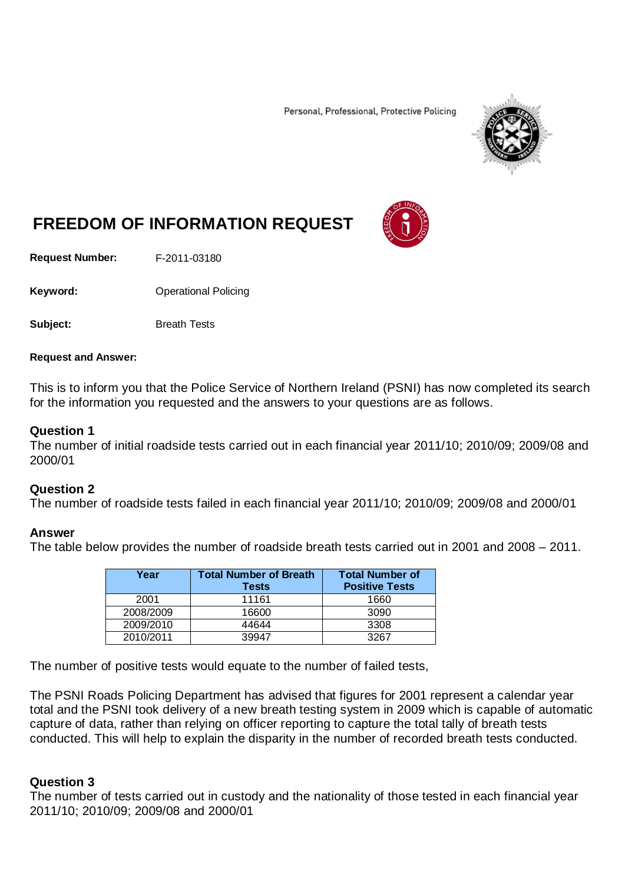Personal, Professional, Protective Policing



# **FREEDOM OF INFORMATION REQUEST**

**Request Number:** F-2011-03180

Keyword: **Calcular Contract Contract Contract Contract Contract Contract Contract Contract Contract Contract Contract Contract Contract Contract Contract Contract Contract Contract Contract Contract Contract Contract Contr** 

**Subject:** Breath Tests

#### **Request and Answer:**

This is to inform you that the Police Service of Northern Ireland (PSNI) has now completed its search for the information you requested and the answers to your questions are as follows.

## **Question 1**

The number of initial roadside tests carried out in each financial year 2011/10; 2010/09; 2009/08 and 2000/01

## **Question 2**

The number of roadside tests failed in each financial year 2011/10; 2010/09; 2009/08 and 2000/01

## **Answer**

The table below provides the number of roadside breath tests carried out in 2001 and 2008 – 2011.

| Year      | <b>Total Number of Breath</b><br><b>Tests</b> | <b>Total Number of</b><br><b>Positive Tests</b> |
|-----------|-----------------------------------------------|-------------------------------------------------|
| 2001      | 11161                                         | 1660                                            |
| 2008/2009 | 16600                                         | 3090                                            |
| 2009/2010 | 44644                                         | 3308                                            |
| 2010/2011 | 39947                                         | 3267                                            |

The number of positive tests would equate to the number of failed tests,

The PSNI Roads Policing Department has advised that figures for 2001 represent a calendar year total and the PSNI took delivery of a new breath testing system in 2009 which is capable of automatic capture of data, rather than relying on officer reporting to capture the total tally of breath tests conducted. This will help to explain the disparity in the number of recorded breath tests conducted.

## **Question 3**

The number of tests carried out in custody and the nationality of those tested in each financial year 2011/10; 2010/09; 2009/08 and 2000/01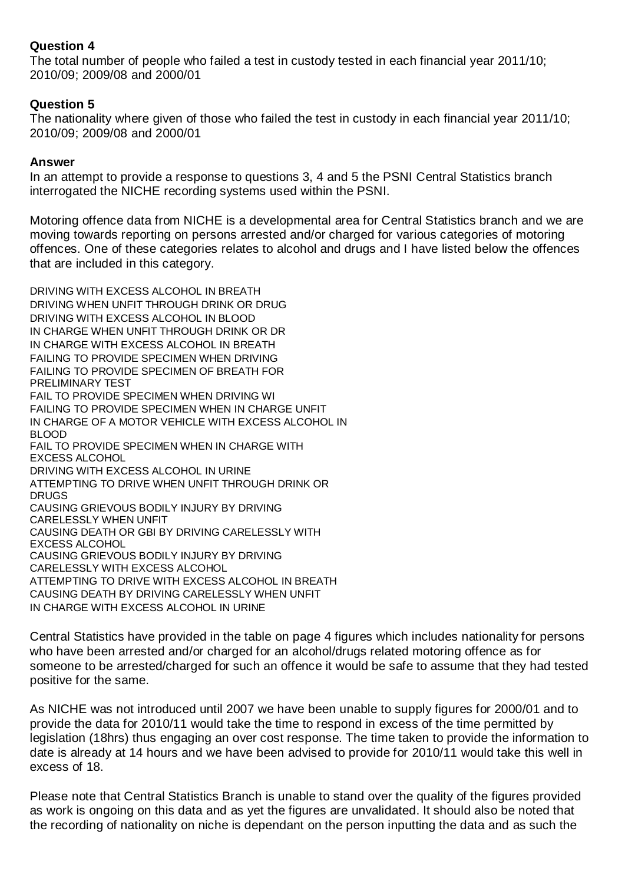# **Question 4**

The total number of people who failed a test in custody tested in each financial year 2011/10; 2010/09; 2009/08 and 2000/01

# **Question 5**

The nationality where given of those who failed the test in custody in each financial year 2011/10; 2010/09; 2009/08 and 2000/01

## **Answer**

In an attempt to provide a response to questions 3, 4 and 5 the PSNI Central Statistics branch interrogated the NICHE recording systems used within the PSNI.

Motoring offence data from NICHE is a developmental area for Central Statistics branch and we are moving towards reporting on persons arrested and/or charged for various categories of motoring offences. One of these categories relates to alcohol and drugs and I have listed below the offences that are included in this category.

DRIVING WITH EXCESS ALCOHOL IN BREATH DRIVING WHEN UNFIT THROUGH DRINK OR DRUG DRIVING WITH EXCESS ALCOHOL IN BLOOD IN CHARGE WHEN UNFIT THROUGH DRINK OR DR IN CHARGE WITH EXCESS ALCOHOL IN BREATH FAILING TO PROVIDE SPECIMEN WHEN DRIVING FAILING TO PROVIDE SPECIMEN OF BREATH FOR PRELIMINARY TEST FAIL TO PROVIDE SPECIMEN WHEN DRIVING WI FAILING TO PROVIDE SPECIMEN WHEN IN CHARGE UNFIT IN CHARGE OF A MOTOR VEHICLE WITH EXCESS ALCOHOL IN BLOOD FAIL TO PROVIDE SPECIMEN WHEN IN CHARGE WITH EXCESS ALCOHOL DRIVING WITH EXCESS ALCOHOL IN URINE ATTEMPTING TO DRIVE WHEN UNFIT THROUGH DRINK OR DRUGS CAUSING GRIEVOUS BODILY INJURY BY DRIVING CARELESSLY WHEN UNFIT CAUSING DEATH OR GBI BY DRIVING CARELESSLY WITH EXCESS ALCOHOL CAUSING GRIEVOUS BODILY INJURY BY DRIVING CARELESSLY WITH EXCESS ALCOHOL ATTEMPTING TO DRIVE WITH EXCESS ALCOHOL IN BREATH CAUSING DEATH BY DRIVING CARELESSLY WHEN UNFIT IN CHARGE WITH EXCESS ALCOHOL IN URINE

Central Statistics have provided in the table on page 4 figures which includes nationality for persons who have been arrested and/or charged for an alcohol/drugs related motoring offence as for someone to be arrested/charged for such an offence it would be safe to assume that they had tested positive for the same.

As NICHE was not introduced until 2007 we have been unable to supply figures for 2000/01 and to provide the data for 2010/11 would take the time to respond in excess of the time permitted by legislation (18hrs) thus engaging an over cost response. The time taken to provide the information to date is already at 14 hours and we have been advised to provide for 2010/11 would take this well in excess of 18.

Please note that Central Statistics Branch is unable to stand over the quality of the figures provided as work is ongoing on this data and as yet the figures are unvalidated. It should also be noted that the recording of nationality on niche is dependant on the person inputting the data and as such the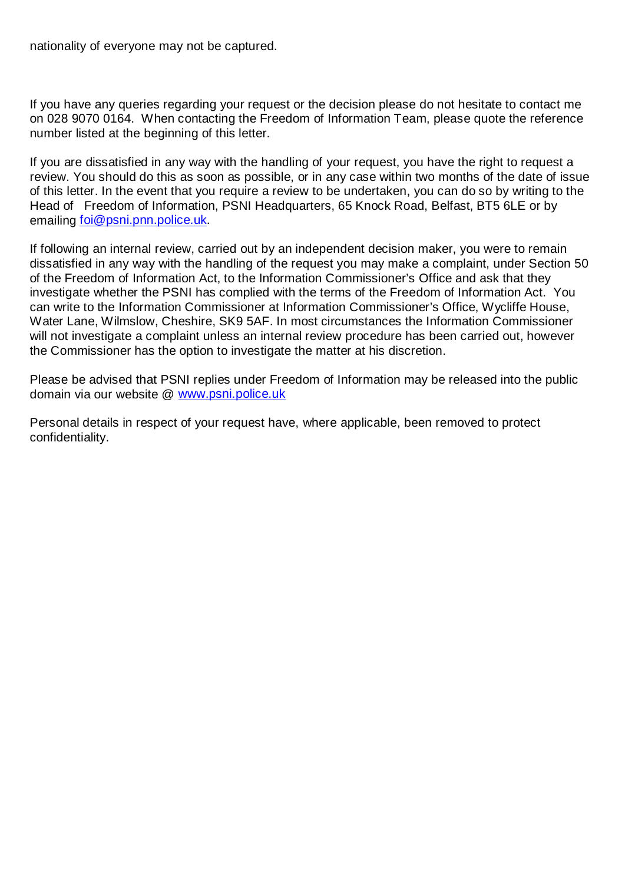nationality of everyone may not be captured.

If you have any queries regarding your request or the decision please do not hesitate to contact me on 028 9070 0164. When contacting the Freedom of Information Team, please quote the reference number listed at the beginning of this letter.

If you are dissatisfied in any way with the handling of your request, you have the right to request a review. You should do this as soon as possible, or in any case within two months of the date of issue of this letter. In the event that you require a review to be undertaken, you can do so by writing to the Head of Freedom of Information, PSNI Headquarters, 65 Knock Road, Belfast, BT5 6LE or by emailing [foi@psni.pnn.police.uk.](mailto:foi@psni.pnn.police.uk)

If following an internal review, carried out by an independent decision maker, you were to remain dissatisfied in any way with the handling of the request you may make a complaint, under Section 50 of the Freedom of Information Act, to the Information Commissioner's Office and ask that they investigate whether the PSNI has complied with the terms of the Freedom of Information Act. You can write to the Information Commissioner at Information Commissioner's Office, Wycliffe House, Water Lane, Wilmslow, Cheshire, SK9 5AF. In most circumstances the Information Commissioner will not investigate a complaint unless an internal review procedure has been carried out, however the Commissioner has the option to investigate the matter at his discretion.

Please be advised that PSNI replies under Freedom of Information may be released into the public domain via our website @ [www.psni.police.uk](http://www.psni.police.uk/)

Personal details in respect of your request have, where applicable, been removed to protect confidentiality.